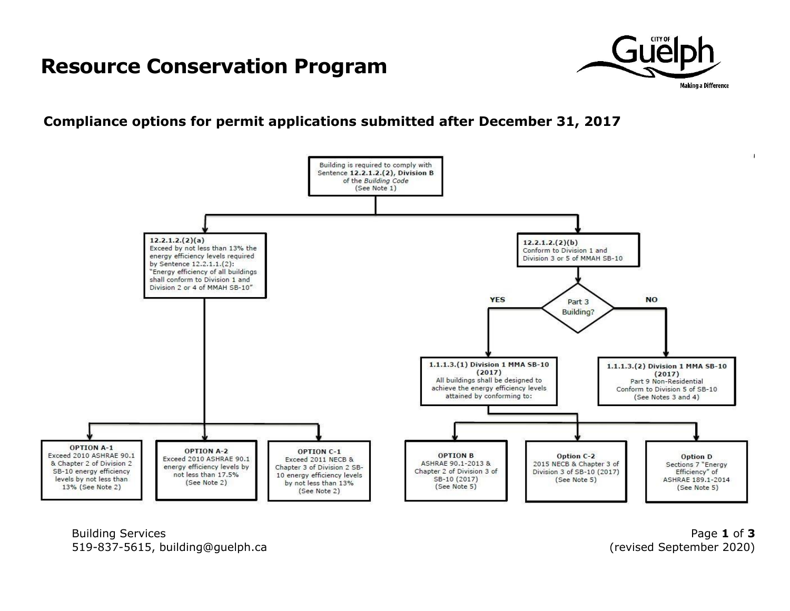## **Resource Conservation Program**



## **Compliance options for permit applications submitted after December 31, 2017**



Building Services **Page 1** of **3** 519-837-5615, building@guelph.ca (revised September 2020)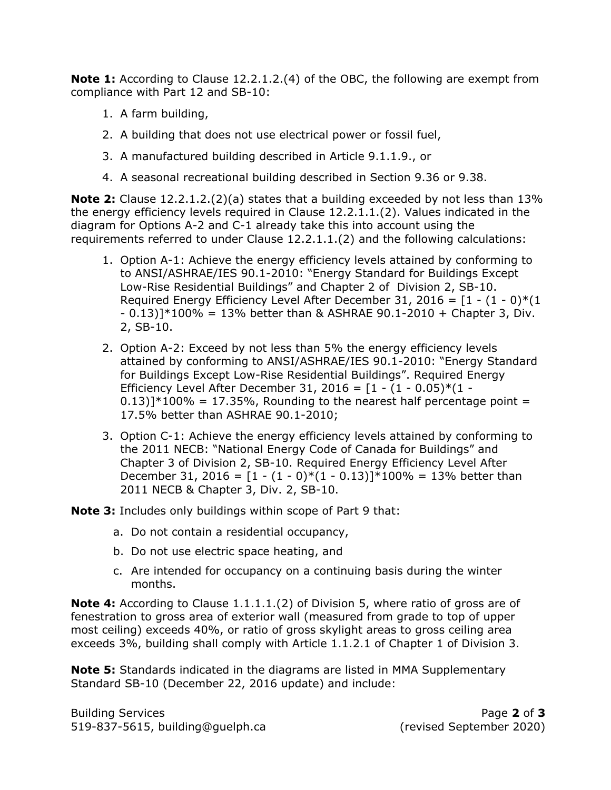**Note 1:** According to Clause 12.2.1.2.(4) of the OBC, the following are exempt from compliance with Part 12 and SB-10:

- 1. A farm building,
- 2. A building that does not use electrical power or fossil fuel,
- 3. A manufactured building described in Article 9.1.1.9., or
- 4. A seasonal recreational building described in Section 9.36 or 9.38.

**Note 2:** Clause 12.2.1.2.(2)(a) states that a building exceeded by not less than 13% the energy efficiency levels required in Clause 12.2.1.1.(2). Values indicated in the diagram for Options A-2 and C-1 already take this into account using the requirements referred to under Clause 12.2.1.1.(2) and the following calculations:

- 1. Option A-1: Achieve the energy efficiency levels attained by conforming to to ANSI/ASHRAE/IES 90.1-2010: "Energy Standard for Buildings Except Low-Rise Residential Buildings" and Chapter 2 of Division 2, SB-10. Required Energy Efficiency Level After December 31, 2016 =  $[1 - (1 - 0)*(1 - 0)]$  $- 0.13$ ] \*100% = 13% better than & ASHRAE 90.1-2010 + Chapter 3, Div. 2, SB-10.
- 2. Option A-2: Exceed by not less than 5% the energy efficiency levels attained by conforming to ANSI/ASHRAE/IES 90.1-2010: "Energy Standard for Buildings Except Low-Rise Residential Buildings". Required Energy Efficiency Level After December 31, 2016 =  $[1 - (1 - 0.05) * (1 (0.13)$ ]\*100% = 17.35%, Rounding to the nearest half percentage point = 17.5% better than ASHRAE 90.1-2010;
- 3. Option C-1: Achieve the energy efficiency levels attained by conforming to the 2011 NECB: "National Energy Code of Canada for Buildings" and Chapter 3 of Division 2, SB-10. Required Energy Efficiency Level After December 31, 2016 =  $[1 - (1 - 0)*(1 - 0.13)]*100% = 13%$  better than 2011 NECB & Chapter 3, Div. 2, SB-10.
- **Note 3:** Includes only buildings within scope of Part 9 that:
	- a. Do not contain a residential occupancy,
	- b. Do not use electric space heating, and
	- c. Are intended for occupancy on a continuing basis during the winter months.

**Note 4:** According to Clause 1.1.1.1.(2) of Division 5, where ratio of gross are of fenestration to gross area of exterior wall (measured from grade to top of upper most ceiling) exceeds 40%, or ratio of gross skylight areas to gross ceiling area exceeds 3%, building shall comply with Article 1.1.2.1 of Chapter 1 of Division 3.

**Note 5:** Standards indicated in the diagrams are listed in MMA Supplementary Standard SB-10 (December 22, 2016 update) and include:

Building Services Page **2** of **3** 519-837-5615, building@guelph.ca (revised September 2020)